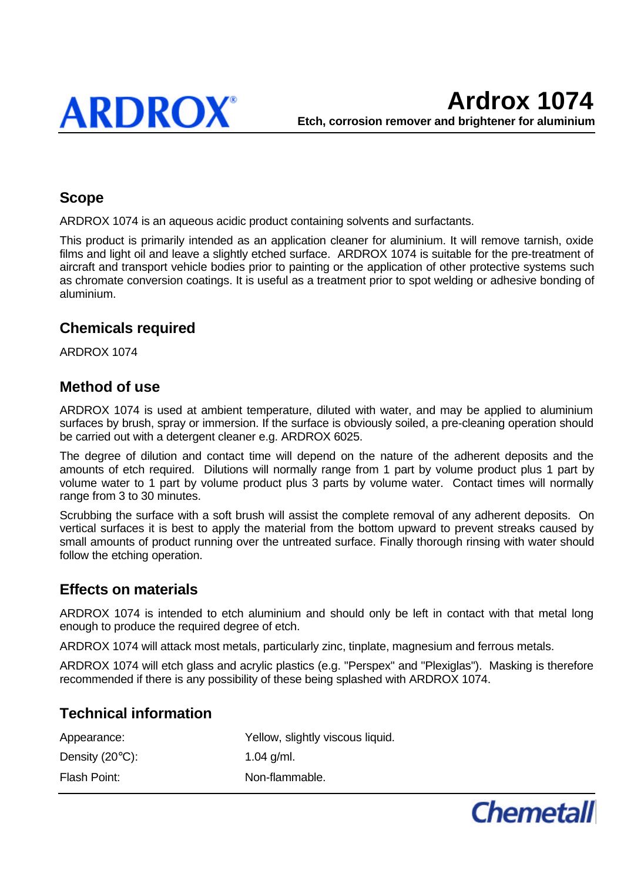

## **Scope**

ARDROX 1074 is an aqueous acidic product containing solvents and surfactants.

This product is primarily intended as an application cleaner for aluminium. It will remove tarnish, oxide films and light oil and leave a slightly etched surface. ARDROX 1074 is suitable for the pre-treatment of aircraft and transport vehicle bodies prior to painting or the application of other protective systems such as chromate conversion coatings. It is useful as a treatment prior to spot welding or adhesive bonding of aluminium.

#### **Chemicals required**

ARDROX 1074

#### **Method of use**

ARDROX 1074 is used at ambient temperature, diluted with water, and may be applied to aluminium surfaces by brush, spray or immersion. If the surface is obviously soiled, a pre-cleaning operation should be carried out with a detergent cleaner e.g. ARDROX 6025.

The degree of dilution and contact time will depend on the nature of the adherent deposits and the amounts of etch required. Dilutions will normally range from 1 part by volume product plus 1 part by volume water to 1 part by volume product plus 3 parts by volume water. Contact times will normally range from 3 to 30 minutes.

Scrubbing the surface with a soft brush will assist the complete removal of any adherent deposits. On vertical surfaces it is best to apply the material from the bottom upward to prevent streaks caused by small amounts of product running over the untreated surface. Finally thorough rinsing with water should follow the etching operation.

#### **Effects on materials**

ARDROX 1074 is intended to etch aluminium and should only be left in contact with that metal long enough to produce the required degree of etch.

ARDROX 1074 will attack most metals, particularly zinc, tinplate, magnesium and ferrous metals.

ARDROX 1074 will etch glass and acrylic plastics (e.g. "Perspex" and "Plexiglas"). Masking is therefore recommended if there is any possibility of these being splashed with ARDROX 1074.

#### **Technical information**

| Appearance:               | Yellow, slightly viscous liquid. |
|---------------------------|----------------------------------|
| Density $(20^{\circ}C)$ : | 1.04 $q/ml$ .                    |
| Flash Point:              | Non-flammable.                   |